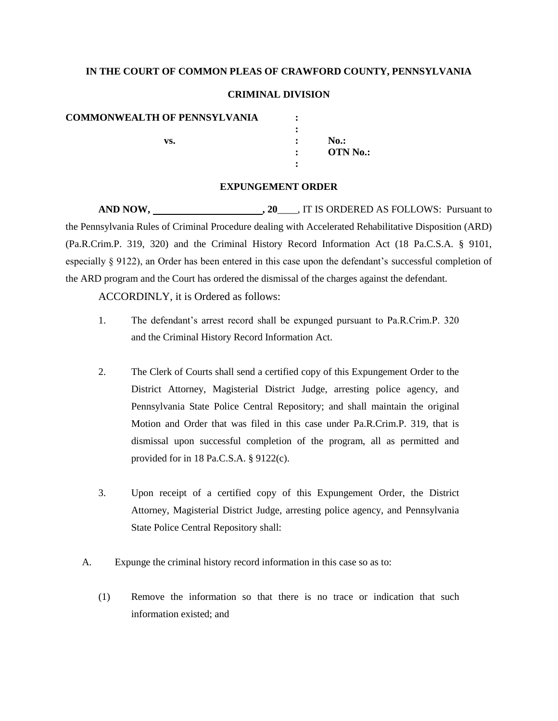### **IN THE COURT OF COMMON PLEAS OF CRAWFORD COUNTY, PENNSYLVANIA**

### **CRIMINAL DIVISION**

**:**

**:**

#### **COMMONWEALTH OF PENNSYLVANIA :**

**vs. : No.:** 

**: OTN No.:**

### **EXPUNGEMENT ORDER**

AND NOW, 20\_\_\_, IT IS ORDERED AS FOLLOWS: Pursuant to the Pennsylvania Rules of Criminal Procedure dealing with Accelerated Rehabilitative Disposition (ARD) (Pa.R.Crim.P. 319, 320) and the Criminal History Record Information Act (18 Pa.C.S.A. § 9101, especially § 9122), an Order has been entered in this case upon the defendant's successful completion of the ARD program and the Court has ordered the dismissal of the charges against the defendant.

ACCORDINLY, it is Ordered as follows:

- 1. The defendant's arrest record shall be expunged pursuant to Pa.R.Crim.P. 320 and the Criminal History Record Information Act.
- 2. The Clerk of Courts shall send a certified copy of this Expungement Order to the District Attorney, Magisterial District Judge, arresting police agency, and Pennsylvania State Police Central Repository; and shall maintain the original Motion and Order that was filed in this case under Pa.R.Crim.P. 319, that is dismissal upon successful completion of the program, all as permitted and provided for in 18 Pa.C.S.A. § 9122(c).
- 3. Upon receipt of a certified copy of this Expungement Order, the District Attorney, Magisterial District Judge, arresting police agency, and Pennsylvania State Police Central Repository shall:
- A. Expunge the criminal history record information in this case so as to:
	- (1) Remove the information so that there is no trace or indication that such information existed; and